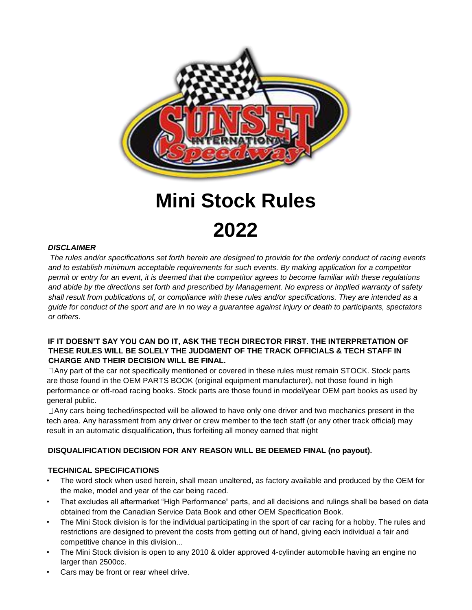

# **Mini Stock Rules 2022**

#### *DISCLAIMER*

*The rules and/or specifications set forth herein are designed to provide for the orderly conduct of racing events and to establish minimum acceptable requirements for such events. By making application for a competitor permit or entry for an event, it is deemed that the competitor agrees to become familiar with these regulations and abide by the directions set forth and prescribed by Management. No express or implied warranty of safety shall result from publications of, or compliance with these rules and/or specifications. They are intended as a guide for conduct of the sport and are in no way a guarantee against injury or death to participants, spectators or others.* 

#### **IF IT DOESN'T SAY YOU CAN DO IT, ASK THE TECH DIRECTOR FIRST. THE INTERPRETATION OF THESE RULES WILL BE SOLELY THE JUDGMENT OF THE TRACK OFFICIALS & TECH STAFF IN CHARGE AND THEIR DECISION WILL BE FINAL.**

Any part of the car not specifically mentioned or covered in these rules must remain STOCK. Stock parts are those found in the OEM PARTS BOOK (original equipment manufacturer), not those found in high performance or off-road racing books. Stock parts are those found in model/year OEM part books as used by general public.

Any cars being teched/inspected will be allowed to have only one driver and two mechanics present in the tech area. Any harassment from any driver or crew member to the tech staff (or any other track official) may result in an automatic disqualification, thus forfeiting all money earned that night

## **DISQUALIFICATION DECISION FOR ANY REASON WILL BE DEEMED FINAL (no payout).**

#### **TECHNICAL SPECIFICATIONS**

- The word stock when used herein, shall mean unaltered, as factory available and produced by the OEM for the make, model and year of the car being raced.
- That excludes all aftermarket "High Performance" parts, and all decisions and rulings shall be based on data obtained from the Canadian Service Data Book and other OEM Specification Book.
- The Mini Stock division is for the individual participating in the sport of car racing for a hobby. The rules and restrictions are designed to prevent the costs from getting out of hand, giving each individual a fair and competitive chance in this division...
- The Mini Stock division is open to any 2010 & older approved 4-cylinder automobile having an engine no larger than 2500cc.
- Cars may be front or rear wheel drive.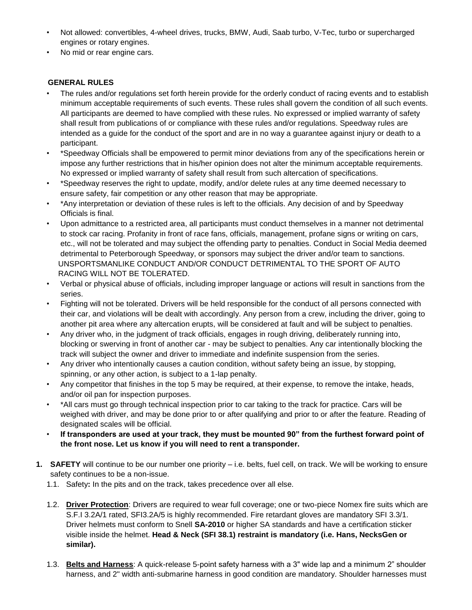- Not allowed: convertibles, 4-wheel drives, trucks, BMW, Audi, Saab turbo, V-Tec, turbo or supercharged engines or rotary engines.
- No mid or rear engine cars.

# **GENERAL RULES**

- The rules and/or regulations set forth herein provide for the orderly conduct of racing events and to establish minimum acceptable requirements of such events. These rules shall govern the condition of all such events. All participants are deemed to have complied with these rules. No expressed or implied warranty of safety shall result from publications of or compliance with these rules and/or regulations. Speedway rules are intended as a guide for the conduct of the sport and are in no way a guarantee against injury or death to a participant.
- \*Speedway Officials shall be empowered to permit minor deviations from any of the specifications herein or impose any further restrictions that in his/her opinion does not alter the minimum acceptable requirements. No expressed or implied warranty of safety shall result from such altercation of specifications.
- \*Speedway reserves the right to update, modify, and/or delete rules at any time deemed necessary to ensure safety, fair competition or any other reason that may be appropriate.
- \*Any interpretation or deviation of these rules is left to the officials. Any decision of and by Speedway Officials is final.
- Upon admittance to a restricted area, all participants must conduct themselves in a manner not detrimental to stock car racing. Profanity in front of race fans, officials, management, profane signs or writing on cars, etc., will not be tolerated and may subject the offending party to penalties. Conduct in Social Media deemed detrimental to Peterborough Speedway, or sponsors may subject the driver and/or team to sanctions. UNSPORTSMANLIKE CONDUCT AND/OR CONDUCT DETRIMENTAL TO THE SPORT OF AUTO RACING WILL NOT BE TOLERATED.
- Verbal or physical abuse of officials, including improper language or actions will result in sanctions from the series.
- Fighting will not be tolerated. Drivers will be held responsible for the conduct of all persons connected with their car, and violations will be dealt with accordingly. Any person from a crew, including the driver, going to another pit area where any altercation erupts, will be considered at fault and will be subject to penalties.
- Any driver who, in the judgment of track officials, engages in rough driving, deliberately running into, blocking or swerving in front of another car - may be subject to penalties. Any car intentionally blocking the track will subject the owner and driver to immediate and indefinite suspension from the series.
- Any driver who intentionally causes a caution condition, without safety being an issue, by stopping, spinning, or any other action, is subject to a 1-lap penalty.
- Any competitor that finishes in the top 5 may be required, at their expense, to remove the intake, heads, and/or oil pan for inspection purposes.
- \*All cars must go through technical inspection prior to car taking to the track for practice. Cars will be weighed with driver, and may be done prior to or after qualifying and prior to or after the feature. Reading of designated scales will be official.
- **If transponders are used at your track, they must be mounted 90" from the furthest forward point of the front nose. Let us know if you will need to rent a transponder.**
- **1. SAFETY** will continue to be our number one priority i.e. belts, fuel cell, on track. We will be working to ensure safety continues to be a non-issue.
	- 1.1. Safety**:** In the pits and on the track, takes precedence over all else.
	- 1.2. **Driver Protection**: Drivers are required to wear full coverage; one or two-piece Nomex fire suits which are S.F.I 3.2A/1 rated, SFI3.2A/5 is highly recommended. Fire retardant gloves are mandatory SFI 3.3/1. Driver helmets must conform to Snell **SA-2010** or higher SA standards and have a certification sticker visible inside the helmet. **Head & Neck (SFI 38.1) restraint is mandatory (i.e. Hans, NecksGen or similar).**
	- 1.3. **Belts and Harness**: A quick-release 5-point safety harness with a 3" wide lap and a minimum 2" shoulder harness, and 2" width anti-submarine harness in good condition are mandatory. Shoulder harnesses must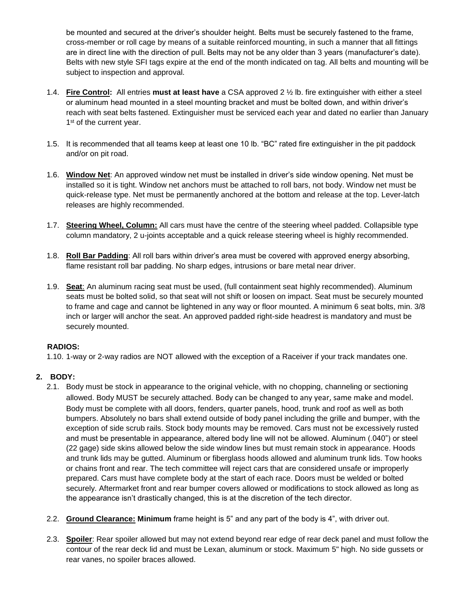be mounted and secured at the driver's shoulder height. Belts must be securely fastened to the frame, cross-member or roll cage by means of a suitable reinforced mounting, in such a manner that all fittings are in direct line with the direction of pull. Belts may not be any older than 3 years (manufacturer's date). Belts with new style SFI tags expire at the end of the month indicated on tag. All belts and mounting will be subject to inspection and approval.

- 1.4. **Fire Control:** All entries **must at least have** a CSA approved 2 ½ lb. fire extinguisher with either a steel or aluminum head mounted in a steel mounting bracket and must be bolted down, and within driver's reach with seat belts fastened. Extinguisher must be serviced each year and dated no earlier than January 1<sup>st</sup> of the current year.
- 1.5. It is recommended that all teams keep at least one 10 lb. "BC" rated fire extinguisher in the pit paddock and/or on pit road.
- 1.6. **Window Net**: An approved window net must be installed in driver's side window opening. Net must be installed so it is tight. Window net anchors must be attached to roll bars, not body. Window net must be quick-release type. Net must be permanently anchored at the bottom and release at the top. Lever-latch releases are highly recommended.
- 1.7. **Steering Wheel, Column:** All cars must have the centre of the steering wheel padded. Collapsible type column mandatory, 2 u-joints acceptable and a quick release steering wheel is highly recommended.
- 1.8. **Roll Bar Padding**: All roll bars within driver's area must be covered with approved energy absorbing, flame resistant roll bar padding. No sharp edges, intrusions or bare metal near driver.
- 1.9. **Seat**: An aluminum racing seat must be used, (full containment seat highly recommended). Aluminum seats must be bolted solid, so that seat will not shift or loosen on impact. Seat must be securely mounted to frame and cage and cannot be lightened in any way or floor mounted. A minimum 6 seat bolts, min. 3/8 inch or larger will anchor the seat. An approved padded right-side headrest is mandatory and must be securely mounted.

#### **RADIOS:**

1.10. 1-way or 2-way radios are NOT allowed with the exception of a Raceiver if your track mandates one.

## **2. BODY:**

- 2.1. Body must be stock in appearance to the original vehicle, with no chopping, channeling or sectioning allowed. Body MUST be securely attached. Body can be changed to any year, same make and model. Body must be complete with all doors, fenders, quarter panels, hood, trunk and roof as well as both bumpers. Absolutely no bars shall extend outside of body panel including the grille and bumper, with the exception of side scrub rails. Stock body mounts may be removed. Cars must not be excessively rusted and must be presentable in appearance, altered body line will not be allowed. Aluminum (.040") or steel (22 gage) side skins allowed below the side window lines but must remain stock in appearance. Hoods and trunk lids may be gutted. Aluminum or fiberglass hoods allowed and aluminum trunk lids. Tow hooks or chains front and rear. The tech committee will reject cars that are considered unsafe or improperly prepared. Cars must have complete body at the start of each race. Doors must be welded or bolted securely. Aftermarket front and rear bumper covers allowed or modifications to stock allowed as long as the appearance isn't drastically changed, this is at the discretion of the tech director.
- 2.2. **Ground Clearance: Minimum** frame height is 5" and any part of the body is 4", with driver out.
- 2.3. **Spoiler**: Rear spoiler allowed but may not extend beyond rear edge of rear deck panel and must follow the contour of the rear deck lid and must be Lexan, aluminum or stock. Maximum 5" high. No side gussets or rear vanes, no spoiler braces allowed.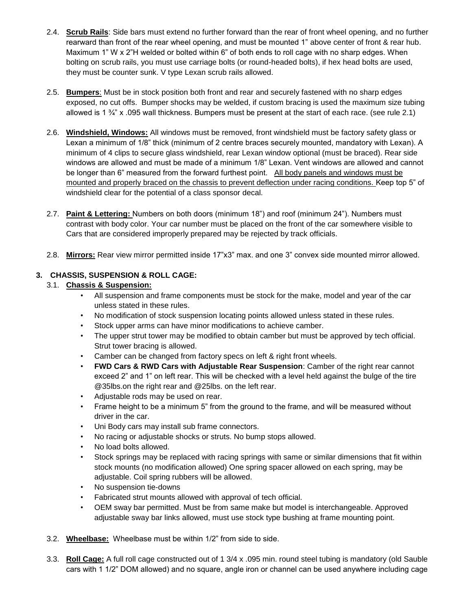- 2.4. **Scrub Rails**: Side bars must extend no further forward than the rear of front wheel opening, and no further rearward than front of the rear wheel opening, and must be mounted 1" above center of front & rear hub. Maximum 1" W x 2"H welded or bolted within 6" of both ends to roll cage with no sharp edges. When bolting on scrub rails, you must use carriage bolts (or round-headed bolts), if hex head bolts are used, they must be counter sunk. V type Lexan scrub rails allowed.
- 2.5. **Bumpers**: Must be in stock position both front and rear and securely fastened with no sharp edges exposed, no cut offs. Bumper shocks may be welded, if custom bracing is used the maximum size tubing allowed is 1 ¾" x .095 wall thickness. Bumpers must be present at the start of each race. (see rule 2.1)
- 2.6. **Windshield, Windows:** All windows must be removed, front windshield must be factory safety glass or Lexan a minimum of 1/8" thick (minimum of 2 centre braces securely mounted, mandatory with Lexan). A minimum of 4 clips to secure glass windshield, rear Lexan window optional (must be braced). Rear side windows are allowed and must be made of a minimum 1/8" Lexan. Vent windows are allowed and cannot be longer than 6" measured from the forward furthest point. All body panels and windows must be mounted and properly braced on the chassis to prevent deflection under racing conditions. Keep top 5" of windshield clear for the potential of a class sponsor decal.
- 2.7. **Paint & Lettering:** Numbers on both doors (minimum 18") and roof (minimum 24"). Numbers must contrast with body color. Your car number must be placed on the front of the car somewhere visible to Cars that are considered improperly prepared may be rejected by track officials.
- 2.8. **Mirrors:** Rear view mirror permitted inside 17"x3" max. and one 3" convex side mounted mirror allowed.

## **3. CHASSIS, SUSPENSION & ROLL CAGE:**

#### 3.1. **Chassis & Suspension:**

- All suspension and frame components must be stock for the make, model and year of the car unless stated in these rules.
- No modification of stock suspension locating points allowed unless stated in these rules.
- Stock upper arms can have minor modifications to achieve camber.
- The upper strut tower may be modified to obtain camber but must be approved by tech official. Strut tower bracing is allowed.
- Camber can be changed from factory specs on left & right front wheels.
- **FWD Cars & RWD Cars with Adjustable Rear Suspension**: Camber of the right rear cannot exceed 2" and 1" on left rear. This will be checked with a level held against the bulge of the tire @35lbs.on the right rear and @25lbs. on the left rear.
- Adjustable rods may be used on rear.
- Frame height to be a minimum 5" from the ground to the frame, and will be measured without driver in the car.
- Uni Body cars may install sub frame connectors.
- No racing or adjustable shocks or struts. No bump stops allowed.
- No load bolts allowed.
- Stock springs may be replaced with racing springs with same or similar dimensions that fit within stock mounts (no modification allowed) One spring spacer allowed on each spring, may be adjustable. Coil spring rubbers will be allowed.
- No suspension tie-downs
- Fabricated strut mounts allowed with approval of tech official.
- OEM sway bar permitted. Must be from same make but model is interchangeable. Approved adjustable sway bar links allowed, must use stock type bushing at frame mounting point.
- 3.2. **Wheelbase:** Wheelbase must be within 1/2" from side to side.
- 3.3. **Roll Cage:** A full roll cage constructed out of 1 3/4 x .095 min. round steel tubing is mandatory (old Sauble cars with 1 1/2" DOM allowed) and no square, angle iron or channel can be used anywhere including cage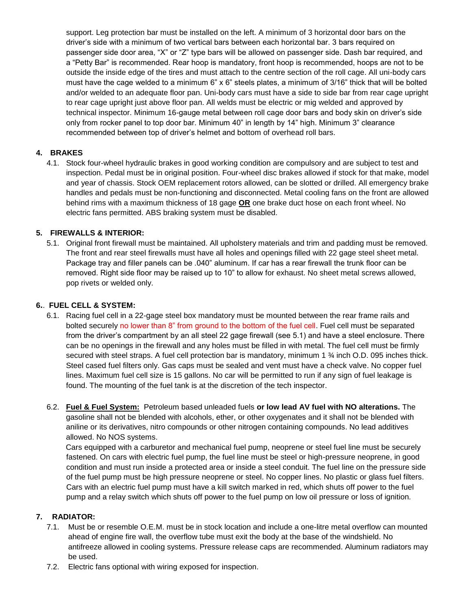support. Leg protection bar must be installed on the left. A minimum of 3 horizontal door bars on the driver's side with a minimum of two vertical bars between each horizontal bar. 3 bars required on passenger side door area, "X" or "Z" type bars will be allowed on passenger side. Dash bar required, and a "Petty Bar" is recommended. Rear hoop is mandatory, front hoop is recommended, hoops are not to be outside the inside edge of the tires and must attach to the centre section of the roll cage. All uni-body cars must have the cage welded to a minimum 6" x 6" steels plates, a minimum of 3/16" thick that will be bolted and/or welded to an adequate floor pan. Uni-body cars must have a side to side bar from rear cage upright to rear cage upright just above floor pan. All welds must be electric or mig welded and approved by technical inspector. Minimum 16-gauge metal between roll cage door bars and body skin on driver's side only from rocker panel to top door bar. Minimum 40" in length by 14" high. Minimum 3" clearance recommended between top of driver's helmet and bottom of overhead roll bars.

## **4. BRAKES**

4.1. Stock four-wheel hydraulic brakes in good working condition are compulsory and are subject to test and inspection. Pedal must be in original position. Four-wheel disc brakes allowed if stock for that make, model and year of chassis. Stock OEM replacement rotors allowed, can be slotted or drilled. All emergency brake handles and pedals must be non-functioning and disconnected. Metal cooling fans on the front are allowed behind rims with a maximum thickness of 18 gage **OR** one brake duct hose on each front wheel. No electric fans permitted. ABS braking system must be disabled.

## **5. FIREWALLS & INTERIOR:**

5.1. Original front firewall must be maintained. All upholstery materials and trim and padding must be removed. The front and rear steel firewalls must have all holes and openings filled with 22 gage steel sheet metal. Package tray and filler panels can be .040" aluminum. If car has a rear firewall the trunk floor can be removed. Right side floor may be raised up to 10" to allow for exhaust. No sheet metal screws allowed, pop rivets or welded only.

#### **6.**. **FUEL CELL & SYSTEM:**

- 6.1. Racing fuel cell in a 22-gage steel box mandatory must be mounted between the rear frame rails and bolted securely no lower than 8" from ground to the bottom of the fuel cell. Fuel cell must be separated from the driver's compartment by an all steel 22 gage firewall (see 5.1) and have a steel enclosure. There can be no openings in the firewall and any holes must be filled in with metal. The fuel cell must be firmly secured with steel straps. A fuel cell protection bar is mandatory, minimum 1 % inch O.D. 095 inches thick. Steel cased fuel filters only. Gas caps must be sealed and vent must have a check valve. No copper fuel lines. Maximum fuel cell size is 15 gallons. No car will be permitted to run if any sign of fuel leakage is found. The mounting of the fuel tank is at the discretion of the tech inspector.
- 6.2. **Fuel & Fuel System:** Petroleum based unleaded fuels **or low lead AV fuel with NO alterations.** The gasoline shall not be blended with alcohols, ether, or other oxygenates and it shall not be blended with aniline or its derivatives, nitro compounds or other nitrogen containing compounds. No lead additives allowed. No NOS systems.

 Cars equipped with a carburetor and mechanical fuel pump, neoprene or steel fuel line must be securely fastened. On cars with electric fuel pump, the fuel line must be steel or high-pressure neoprene, in good condition and must run inside a protected area or inside a steel conduit. The fuel line on the pressure side of the fuel pump must be high pressure neoprene or steel. No copper lines. No plastic or glass fuel filters. Cars with an electric fuel pump must have a kill switch marked in red, which shuts off power to the fuel pump and a relay switch which shuts off power to the fuel pump on low oil pressure or loss of ignition.

## **7. RADIATOR:**

- 7.1. Must be or resemble O.E.M. must be in stock location and include a one-litre metal overflow can mounted ahead of engine fire wall, the overflow tube must exit the body at the base of the windshield. No antifreeze allowed in cooling systems. Pressure release caps are recommended. Aluminum radiators may be used.
- 7.2. Electric fans optional with wiring exposed for inspection.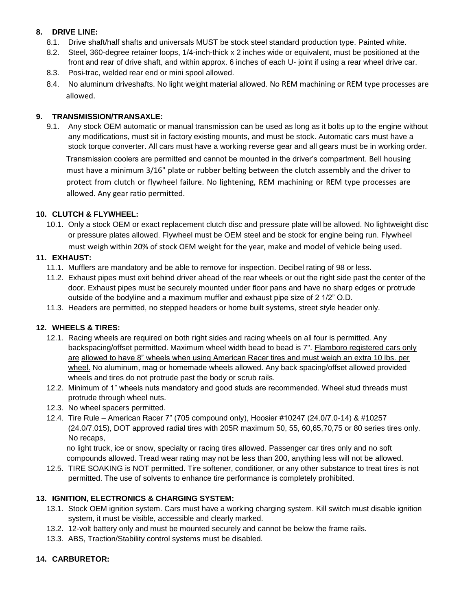#### **8. DRIVE LINE:**

- 8.1. Drive shaft/half shafts and universals MUST be stock steel standard production type. Painted white.
- 8.2. Steel, 360-degree retainer loops, 1/4-inch-thick x 2 inches wide or equivalent, must be positioned at the front and rear of drive shaft, and within approx. 6 inches of each U- joint if using a rear wheel drive car.
- 8.3. Posi-trac, welded rear end or mini spool allowed.
- 8.4. No aluminum driveshafts. No light weight material allowed. No REM machining or REM type processes are allowed.

# **9. TRANSMISSION/TRANSAXLE:**

9.1. Any stock OEM automatic or manual transmission can be used as long as it bolts up to the engine without any modifications, must sit in factory existing mounts, and must be stock. Automatic cars must have a stock torque converter. All cars must have a working reverse gear and all gears must be in working order.

Transmission coolers are permitted and cannot be mounted in the driver's compartment. Bell housing must have a minimum 3/16" plate or rubber belting between the clutch assembly and the driver to protect from clutch or flywheel failure. No lightening, REM machining or REM type processes are allowed. Any gear ratio permitted.

## **10. CLUTCH & FLYWHEEL:**

10.1. Only a stock OEM or exact replacement clutch disc and pressure plate will be allowed. No lightweight disc or pressure plates allowed. Flywheel must be OEM steel and be stock for engine being run. Flywheel must weigh within 20% of stock OEM weight for the year, make and model of vehicle being used.

#### **11. EXHAUST:**

- 11.1. Mufflers are mandatory and be able to remove for inspection. Decibel rating of 98 or less.
- 11.2. Exhaust pipes must exit behind driver ahead of the rear wheels or out the right side past the center of the door. Exhaust pipes must be securely mounted under floor pans and have no sharp edges or protrude outside of the bodyline and a maximum muffler and exhaust pipe size of 2 1/2" O.D.
- 11.3. Headers are permitted, no stepped headers or home built systems, street style header only.

## **12. WHEELS & TIRES:**

- 12.1. Racing wheels are required on both right sides and racing wheels on all four is permitted. Any backspacing/offset permitted. Maximum wheel width bead to bead is 7". Flamboro registered cars only are allowed to have 8" wheels when using American Racer tires and must weigh an extra 10 lbs. per wheel. No aluminum, mag or homemade wheels allowed. Any back spacing/offset allowed provided wheels and tires do not protrude past the body or scrub rails.
- 12.2. Minimum of 1" wheels nuts mandatory and good studs are recommended. Wheel stud threads must protrude through wheel nuts.
- 12.3. No wheel spacers permitted.
- 12.4. Tire Rule American Racer 7" (705 compound only), Hoosier #10247 (24.0/7.0-14) & #10257 (24.0/7.015), DOT approved radial tires with 205R maximum 50, 55, 60,65,70,75 or 80 series tires only. No recaps,

no light truck, ice or snow, specialty or racing tires allowed. Passenger car tires only and no soft compounds allowed. Tread wear rating may not be less than 200, anything less will not be allowed.

12.5. TIRE SOAKING is NOT permitted. Tire softener, conditioner, or any other substance to treat tires is not permitted. The use of solvents to enhance tire performance is completely prohibited.

#### **13. IGNITION, ELECTRONICS & CHARGING SYSTEM:**

- 13.1. Stock OEM ignition system. Cars must have a working charging system. Kill switch must disable ignition system, it must be visible, accessible and clearly marked.
- 13.2. 12-volt battery only and must be mounted securely and cannot be below the frame rails.
- 13.3. ABS, Traction/Stability control systems must be disabled.

## **14. CARBURETOR:**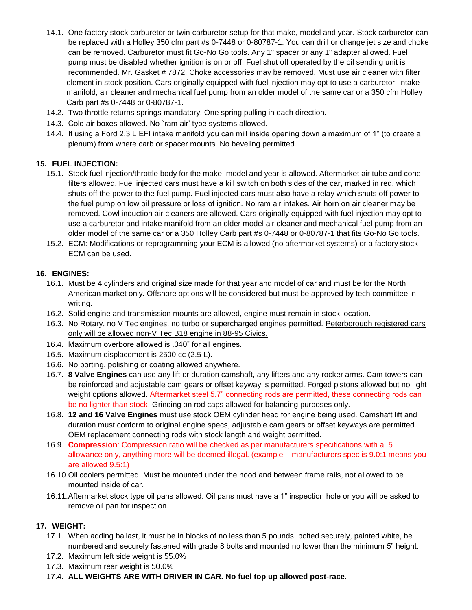- 14.1. One factory stock carburetor or twin carburetor setup for that make, model and year. Stock carburetor can be replaced with a Holley 350 cfm part #s 0-7448 or 0-80787-1. You can drill or change jet size and choke can be removed. Carburetor must fit Go-No Go tools. Any 1" spacer or any 1" adapter allowed. Fuel pump must be disabled whether ignition is on or off. Fuel shut off operated by the oil sending unit is recommended. Mr. Gasket # 7872. Choke accessories may be removed. Must use air cleaner with filter element in stock position. Cars originally equipped with fuel injection may opt to use a carburetor, intake manifold, air cleaner and mechanical fuel pump from an older model of the same car or a 350 cfm Holley Carb part #s 0-7448 or 0-80787-1.
- 14.2. Two throttle returns springs mandatory. One spring pulling in each direction.
- 14.3. Cold air boxes allowed. No `ram air' type systems allowed.
- 14.4. If using a Ford 2.3 L EFI intake manifold you can mill inside opening down a maximum of 1" (to create a plenum) from where carb or spacer mounts. No beveling permitted.

## **15. FUEL INJECTION:**

- 15.1. Stock fuel injection/throttle body for the make, model and year is allowed. Aftermarket air tube and cone filters allowed. Fuel injected cars must have a kill switch on both sides of the car, marked in red, which shuts off the power to the fuel pump. Fuel injected cars must also have a relay which shuts off power to the fuel pump on low oil pressure or loss of ignition. No ram air intakes. Air horn on air cleaner may be removed. Cowl induction air cleaners are allowed. Cars originally equipped with fuel injection may opt to use a carburetor and intake manifold from an older model air cleaner and mechanical fuel pump from an older model of the same car or a 350 Holley Carb part #s 0-7448 or 0-80787-1 that fits Go-No Go tools.
- 15.2. ECM: Modifications or reprogramming your ECM is allowed (no aftermarket systems) or a factory stock ECM can be used.

#### **16. ENGINES:**

- 16.1. Must be 4 cylinders and original size made for that year and model of car and must be for the North American market only. Offshore options will be considered but must be approved by tech committee in writing.
- 16.2. Solid engine and transmission mounts are allowed, engine must remain in stock location.
- 16.3. No Rotary, no V Tec engines, no turbo or supercharged engines permitted. Peterborough registered cars only will be allowed non-V Tec B18 engine in 88-95 Civics.
- 16.4. Maximum overbore allowed is .040" for all engines.
- 16.5. Maximum displacement is 2500 cc (2.5 L).
- 16.6. No porting, polishing or coating allowed anywhere.
- 16.7. **8 Valve Engines** can use any lift or duration camshaft, any lifters and any rocker arms. Cam towers can be reinforced and adjustable cam gears or offset keyway is permitted. Forged pistons allowed but no light weight options allowed. Aftermarket steel 5.7" connecting rods are permitted, these connecting rods can be no lighter than stock. Grinding on rod caps allowed for balancing purposes only.
- 16.8. **12 and 16 Valve Engines** must use stock OEM cylinder head for engine being used. Camshaft lift and duration must conform to original engine specs, adjustable cam gears or offset keyways are permitted. OEM replacement connecting rods with stock length and weight permitted.
- 16.9. **Compression**: Compression ratio will be checked as per manufacturers specifications with a .5 allowance only, anything more will be deemed illegal. (example – manufacturers spec is 9.0:1 means you are allowed 9.5:1)
- 16.10.Oil coolers permitted. Must be mounted under the hood and between frame rails, not allowed to be mounted inside of car.
- 16.11.Aftermarket stock type oil pans allowed. Oil pans must have a 1" inspection hole or you will be asked to remove oil pan for inspection.

#### **17. WEIGHT:**

- 17.1. When adding ballast, it must be in blocks of no less than 5 pounds, bolted securely, painted white, be numbered and securely fastened with grade 8 bolts and mounted no lower than the minimum 5" height.
- 17.2. Maximum left side weight is 55.0%
- 17.3. Maximum rear weight is 50.0%
- 17.4. **ALL WEIGHTS ARE WITH DRIVER IN CAR. No fuel top up allowed post-race.**